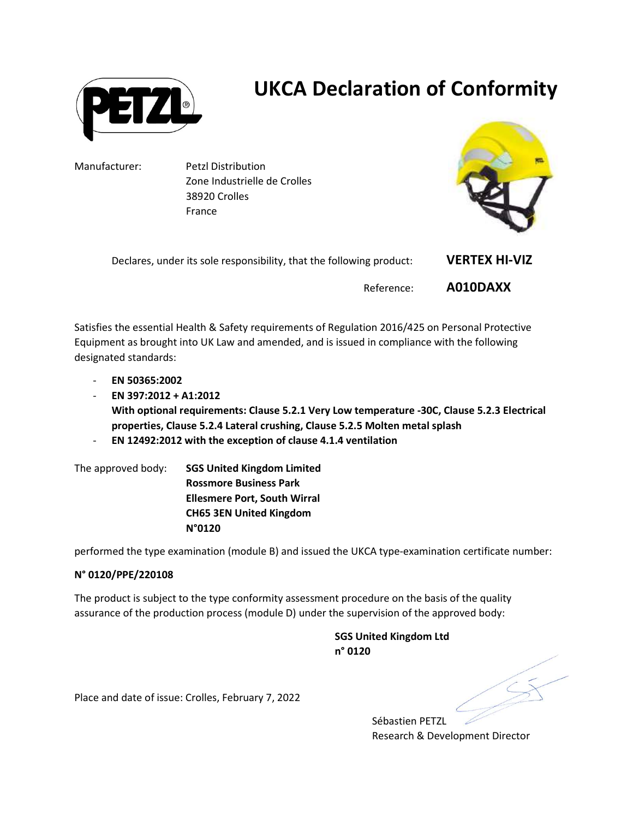

## UKCA Declaration of Conformity

Manufacturer: Petzl Distribution Zone Industrielle de Crolles 38920 Crolles France



Declares, under its sole responsibility, that the following product: **VERTEX HI-VIZ** Reference: A010DAXX

Satisfies the essential Health & Safety requirements of Regulation 2016/425 on Personal Protective Equipment as brought into UK Law and amended, and is issued in compliance with the following designated standards:

- EN 50365:2002
- EN 397:2012 + A1:2012 With optional requirements: Clause 5.2.1 Very Low temperature -30C, Clause 5.2.3 Electrical properties, Clause 5.2.4 Lateral crushing, Clause 5.2.5 Molten metal splash
- EN 12492:2012 with the exception of clause 4.1.4 ventilation

The approved body: SGS United Kingdom Limited Rossmore Business Park Ellesmere Port, South Wirral CH65 3EN United Kingdom N°0120

performed the type examination (module B) and issued the UKCA type-examination certificate number:

## N° 0120/PPE/220108

The product is subject to the type conformity assessment procedure on the basis of the quality assurance of the production process (module D) under the supervision of the approved body:

> SGS United Kingdom Ltd n° 0120

Sébastien PETZL Research & Development Director

Place and date of issue: Crolles, February 7, 2022